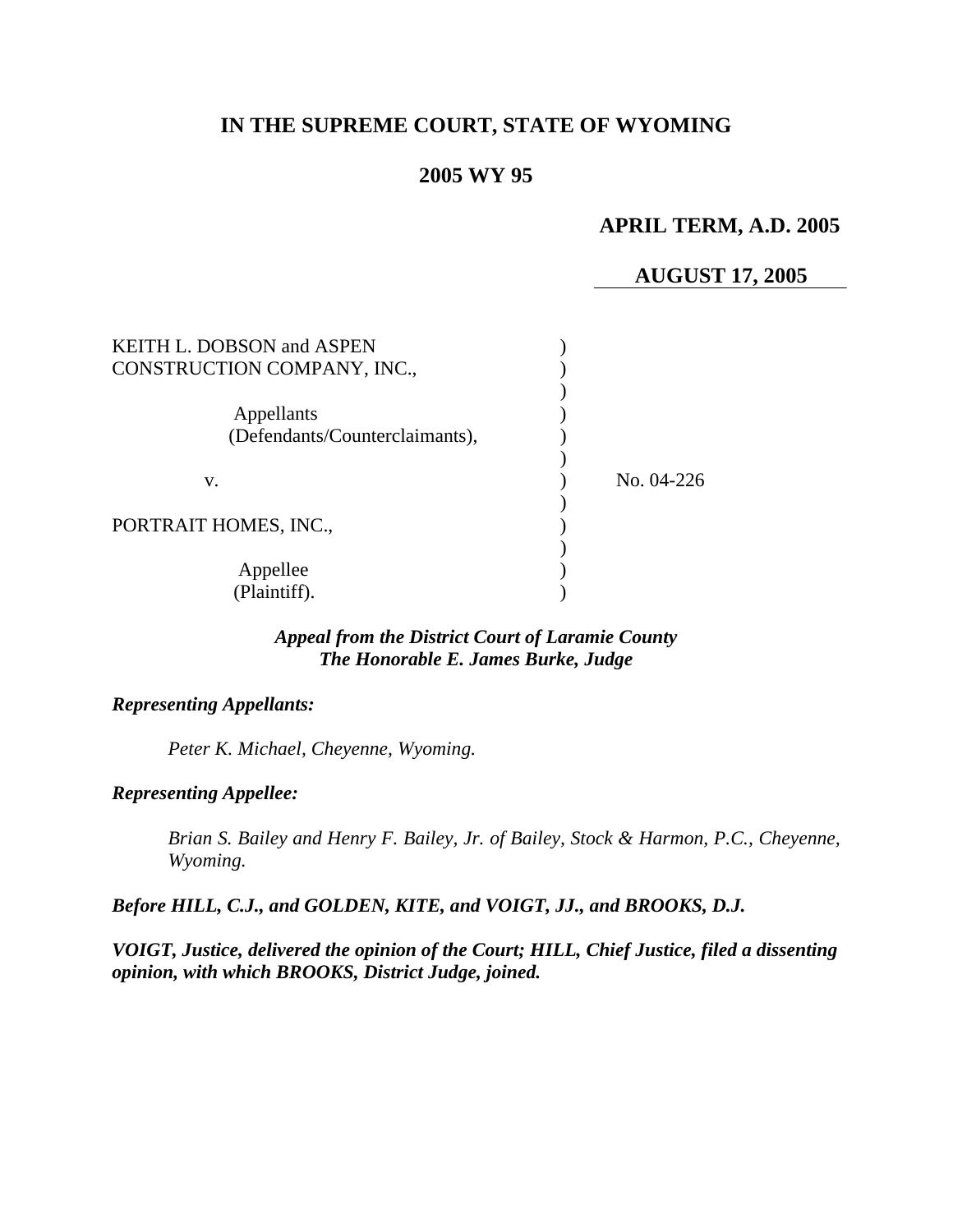# **IN THE SUPREME COURT, STATE OF WYOMING**

## **2005 WY 95**

## **APRIL TERM, A.D. 2005**

## **AUGUST 17, 2005**

| <b>KEITH L. DOBSON and ASPEN</b><br>CONSTRUCTION COMPANY, INC., |              |
|-----------------------------------------------------------------|--------------|
| Appellants<br>(Defendants/Counterclaimants),                    |              |
| V.                                                              | No. $04-226$ |
| PORTRAIT HOMES, INC.,                                           |              |
| Appellee<br>(Plaintiff).                                        |              |

## *Appeal from the District Court of Laramie County The Honorable E. James Burke, Judge*

### *Representing Appellants:*

*Peter K. Michael, Cheyenne, Wyoming.* 

#### *Representing Appellee:*

*Brian S. Bailey and Henry F. Bailey, Jr. of Bailey, Stock & Harmon, P.C., Cheyenne, Wyoming.* 

## *Before HILL, C.J., and GOLDEN, KITE, and VOIGT, JJ., and BROOKS, D.J.*

*VOIGT, Justice, delivered the opinion of the Court; HILL, Chief Justice, filed a dissenting opinion, with which BROOKS, District Judge, joined.*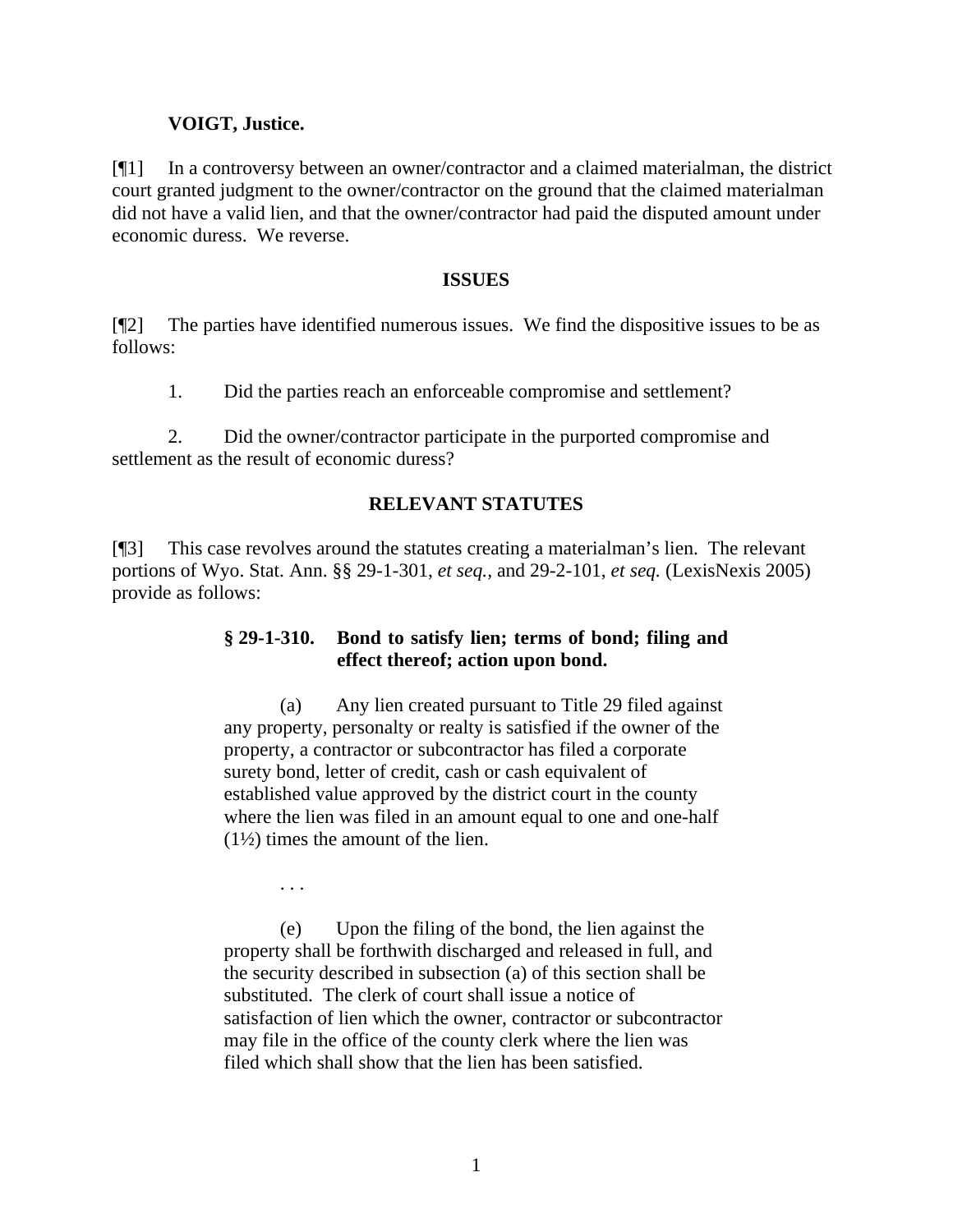### **VOIGT, Justice.**

[¶1] In a controversy between an owner/contractor and a claimed materialman, the district court granted judgment to the owner/contractor on the ground that the claimed materialman did not have a valid lien, and that the owner/contractor had paid the disputed amount under economic duress. We reverse.

#### **ISSUES**

[¶2] The parties have identified numerous issues. We find the dispositive issues to be as follows:

1. Did the parties reach an enforceable compromise and settlement?

2. Did the owner/contractor participate in the purported compromise and settlement as the result of economic duress?

### **RELEVANT STATUTES**

[¶3] This case revolves around the statutes creating a materialman's lien. The relevant portions of Wyo. Stat. Ann. §§ 29-1-301, *et seq.,* and 29-2-101, *et seq.* (LexisNexis 2005) provide as follows:

## **§ 29-1-310. Bond to satisfy lien; terms of bond; filing and effect thereof; action upon bond.**

(a) Any lien created pursuant to Title 29 filed against any property, personalty or realty is satisfied if the owner of the property, a contractor or subcontractor has filed a corporate surety bond, letter of credit, cash or cash equivalent of established value approved by the district court in the county where the lien was filed in an amount equal to one and one-half  $(1\frac{1}{2})$  times the amount of the lien.

. . .

(e) Upon the filing of the bond, the lien against the property shall be forthwith discharged and released in full, and the security described in subsection (a) of this section shall be substituted. The clerk of court shall issue a notice of satisfaction of lien which the owner, contractor or subcontractor may file in the office of the county clerk where the lien was filed which shall show that the lien has been satisfied.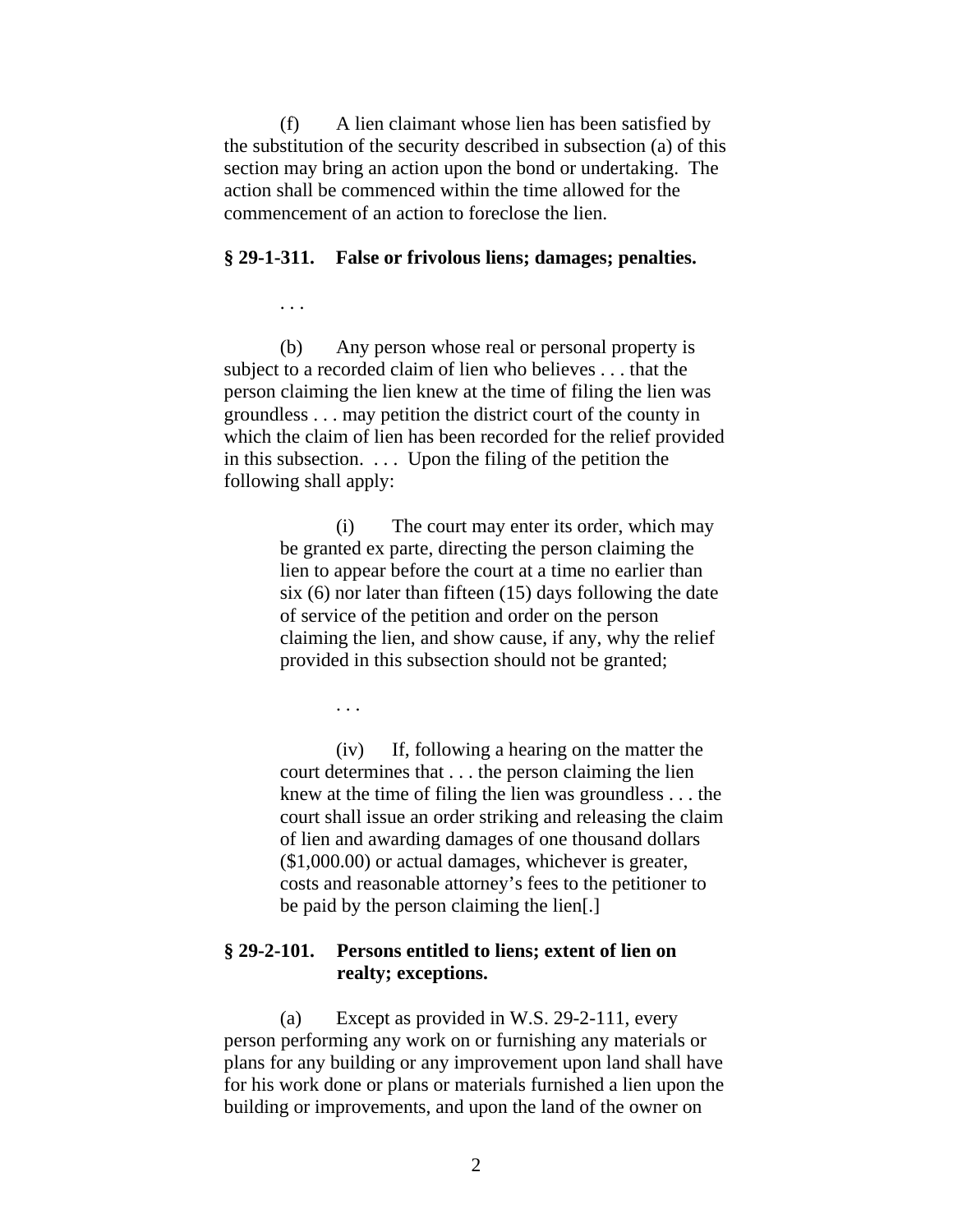(f) A lien claimant whose lien has been satisfied by the substitution of the security described in subsection (a) of this section may bring an action upon the bond or undertaking. The action shall be commenced within the time allowed for the commencement of an action to foreclose the lien.

#### **§ 29-1-311. False or frivolous liens; damages; penalties.**

(b) Any person whose real or personal property is subject to a recorded claim of lien who believes . . . that the person claiming the lien knew at the time of filing the lien was groundless . . . may petition the district court of the county in which the claim of lien has been recorded for the relief provided in this subsection. . . . Upon the filing of the petition the following shall apply:

> (i) The court may enter its order, which may be granted ex parte, directing the person claiming the lien to appear before the court at a time no earlier than six (6) nor later than fifteen (15) days following the date of service of the petition and order on the person claiming the lien, and show cause, if any, why the relief provided in this subsection should not be granted;

> > . . .

. . .

(iv) If, following a hearing on the matter the court determines that . . . the person claiming the lien knew at the time of filing the lien was groundless . . . the court shall issue an order striking and releasing the claim of lien and awarding damages of one thousand dollars (\$1,000.00) or actual damages, whichever is greater, costs and reasonable attorney's fees to the petitioner to be paid by the person claiming the lien[.]

### **§ 29-2-101. Persons entitled to liens; extent of lien on realty; exceptions.**

(a) Except as provided in W.S. 29-2-111, every person performing any work on or furnishing any materials or plans for any building or any improvement upon land shall have for his work done or plans or materials furnished a lien upon the building or improvements, and upon the land of the owner on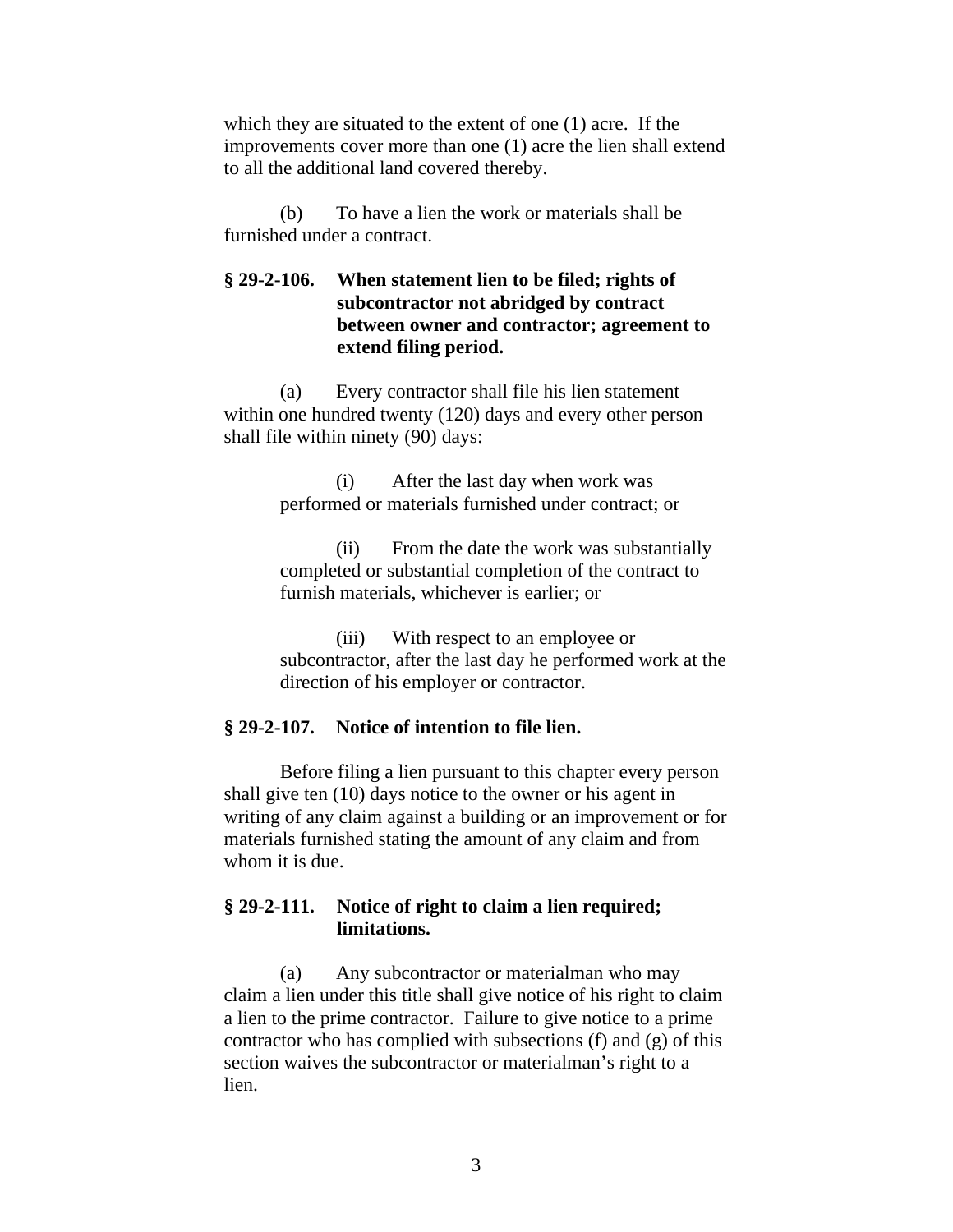which they are situated to the extent of one (1) acre. If the improvements cover more than one (1) acre the lien shall extend to all the additional land covered thereby.

(b) To have a lien the work or materials shall be furnished under a contract.

## **§ 29-2-106. When statement lien to be filed; rights of subcontractor not abridged by contract between owner and contractor; agreement to extend filing period.**

(a) Every contractor shall file his lien statement within one hundred twenty (120) days and every other person shall file within ninety (90) days:

> (i) After the last day when work was performed or materials furnished under contract; or

(ii) From the date the work was substantially completed or substantial completion of the contract to furnish materials, whichever is earlier; or

(iii) With respect to an employee or subcontractor, after the last day he performed work at the direction of his employer or contractor.

## **§ 29-2-107. Notice of intention to file lien.**

Before filing a lien pursuant to this chapter every person shall give ten (10) days notice to the owner or his agent in writing of any claim against a building or an improvement or for materials furnished stating the amount of any claim and from whom it is due.

### **§ 29-2-111. Notice of right to claim a lien required; limitations.**

(a) Any subcontractor or materialman who may claim a lien under this title shall give notice of his right to claim a lien to the prime contractor. Failure to give notice to a prime contractor who has complied with subsections (f) and (g) of this section waives the subcontractor or materialman's right to a lien.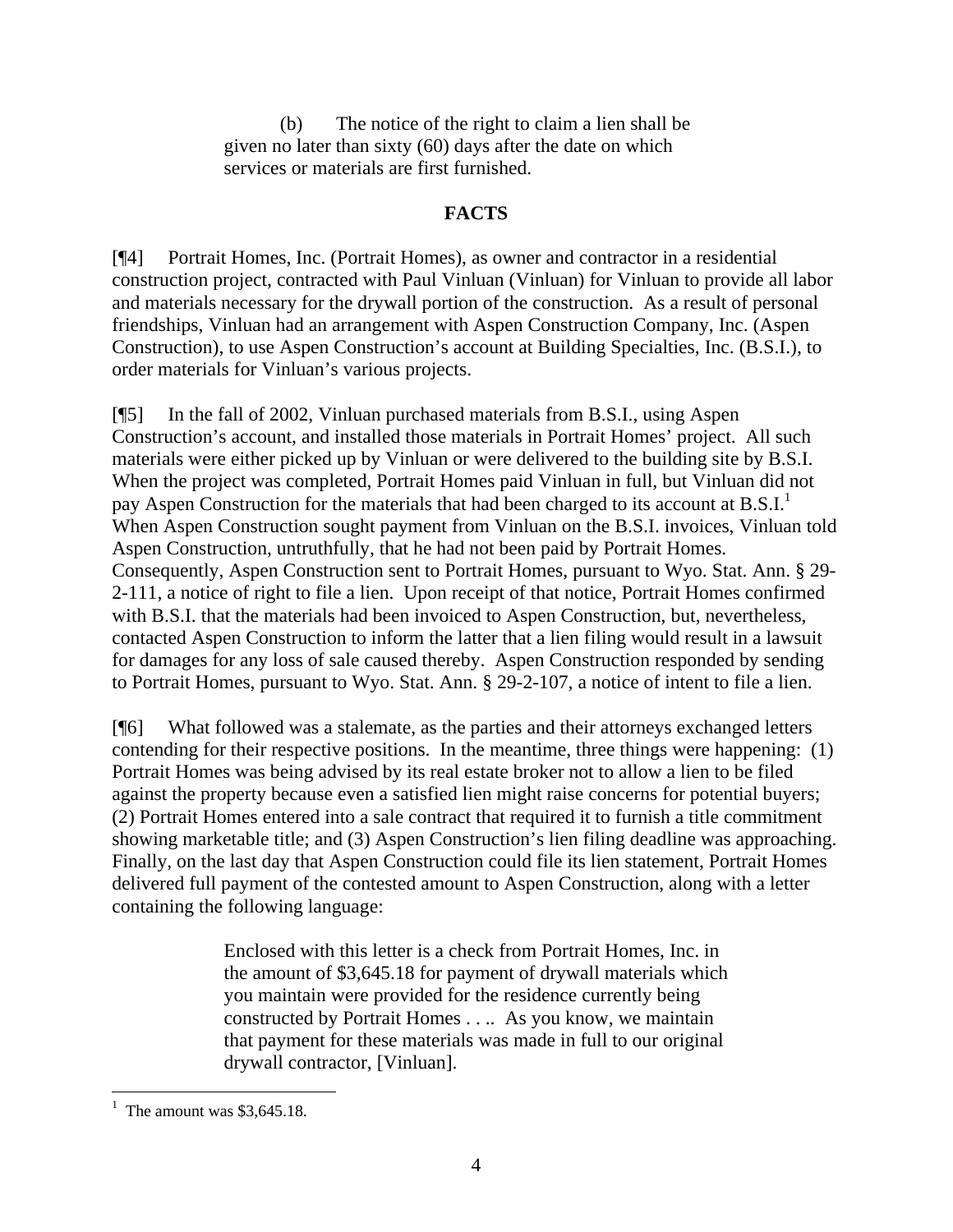(b) The notice of the right to claim a lien shall be given no later than sixty (60) days after the date on which services or materials are first furnished.

## **FACTS**

[¶4] Portrait Homes, Inc. (Portrait Homes), as owner and contractor in a residential construction project, contracted with Paul Vinluan (Vinluan) for Vinluan to provide all labor and materials necessary for the drywall portion of the construction. As a result of personal friendships, Vinluan had an arrangement with Aspen Construction Company, Inc. (Aspen Construction), to use Aspen Construction's account at Building Specialties, Inc. (B.S.I.), to order materials for Vinluan's various projects.

[¶5] In the fall of 2002, Vinluan purchased materials from B.S.I., using Aspen Construction's account, and installed those materials in Portrait Homes' project. All such materials were either picked up by Vinluan or were delivered to the building site by B.S.I. When the project was completed, Portrait Homes paid Vinluan in full, but Vinluan did not pay Aspen Construction for the materials that had been charged to its account at  $B.S.I.^1$ When Aspen Construction sought payment from Vinluan on the B.S.I. invoices, Vinluan told Aspen Construction, untruthfully, that he had not been paid by Portrait Homes. Consequently, Aspen Construction sent to Portrait Homes, pursuant to Wyo. Stat. Ann. § 29- 2-111, a notice of right to file a lien. Upon receipt of that notice, Portrait Homes confirmed with B.S.I. that the materials had been invoiced to Aspen Construction, but, nevertheless, contacted Aspen Construction to inform the latter that a lien filing would result in a lawsuit for damages for any loss of sale caused thereby. Aspen Construction responded by sending to Portrait Homes, pursuant to Wyo. Stat. Ann. § 29-2-107, a notice of intent to file a lien.

[¶6] What followed was a stalemate, as the parties and their attorneys exchanged letters contending for their respective positions. In the meantime, three things were happening: (1) Portrait Homes was being advised by its real estate broker not to allow a lien to be filed against the property because even a satisfied lien might raise concerns for potential buyers; (2) Portrait Homes entered into a sale contract that required it to furnish a title commitment showing marketable title; and (3) Aspen Construction's lien filing deadline was approaching. Finally, on the last day that Aspen Construction could file its lien statement, Portrait Homes delivered full payment of the contested amount to Aspen Construction, along with a letter containing the following language:

> Enclosed with this letter is a check from Portrait Homes, Inc. in the amount of \$3,645.18 for payment of drywall materials which you maintain were provided for the residence currently being constructed by Portrait Homes . . .. As you know, we maintain that payment for these materials was made in full to our original drywall contractor, [Vinluan].

 $\overline{a}$ 

<sup>&</sup>lt;sup>1</sup> The amount was  $$3,645.18$ .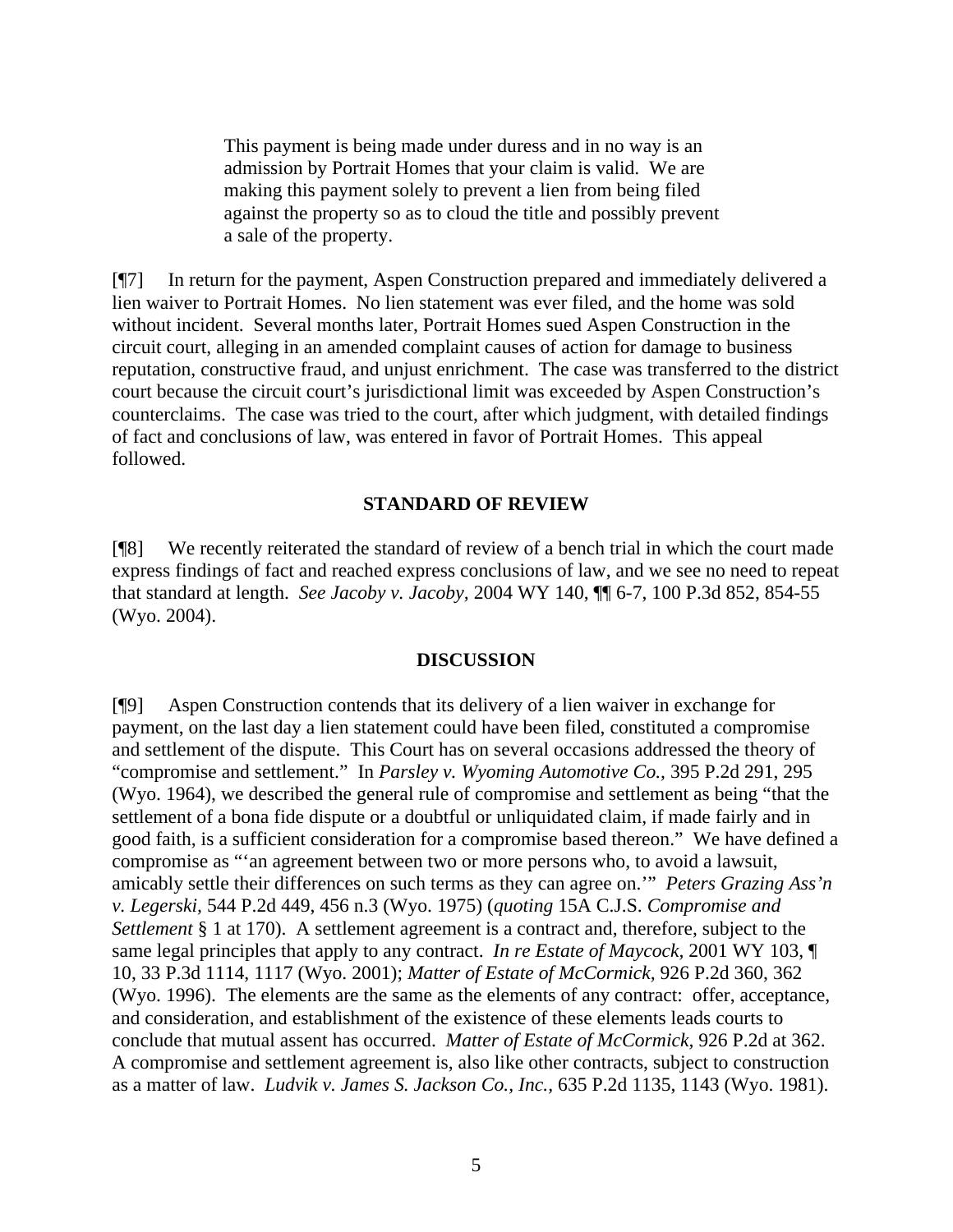This payment is being made under duress and in no way is an admission by Portrait Homes that your claim is valid. We are making this payment solely to prevent a lien from being filed against the property so as to cloud the title and possibly prevent a sale of the property.

[¶7] In return for the payment, Aspen Construction prepared and immediately delivered a lien waiver to Portrait Homes. No lien statement was ever filed, and the home was sold without incident. Several months later, Portrait Homes sued Aspen Construction in the circuit court, alleging in an amended complaint causes of action for damage to business reputation, constructive fraud, and unjust enrichment. The case was transferred to the district court because the circuit court's jurisdictional limit was exceeded by Aspen Construction's counterclaims. The case was tried to the court, after which judgment, with detailed findings of fact and conclusions of law, was entered in favor of Portrait Homes. This appeal followed.

### **STANDARD OF REVIEW**

[¶8] We recently reiterated the standard of review of a bench trial in which the court made express findings of fact and reached express conclusions of law, and we see no need to repeat that standard at length. *See Jacoby v. Jacoby,* 2004 WY 140, ¶¶ 6-7, 100 P.3d 852, 854-55 (Wyo. 2004).

### **DISCUSSION**

[¶9] Aspen Construction contends that its delivery of a lien waiver in exchange for payment, on the last day a lien statement could have been filed, constituted a compromise and settlement of the dispute. This Court has on several occasions addressed the theory of "compromise and settlement." In *Parsley v. Wyoming Automotive Co.,* 395 P.2d 291, 295 (Wyo. 1964), we described the general rule of compromise and settlement as being "that the settlement of a bona fide dispute or a doubtful or unliquidated claim, if made fairly and in good faith, is a sufficient consideration for a compromise based thereon." We have defined a compromise as "'an agreement between two or more persons who, to avoid a lawsuit, amicably settle their differences on such terms as they can agree on.'" *Peters Grazing Ass'n v. Legerski,* 544 P.2d 449, 456 n.3 (Wyo. 1975) (*quoting* 15A C.J.S. *Compromise and Settlement* § 1 at 170). A settlement agreement is a contract and, therefore, subject to the same legal principles that apply to any contract. *In re Estate of Maycock,* 2001 WY 103, ¶ 10, 33 P.3d 1114, 1117 (Wyo. 2001); *Matter of Estate of McCormick,* 926 P.2d 360, 362 (Wyo. 1996). The elements are the same as the elements of any contract: offer, acceptance, and consideration, and establishment of the existence of these elements leads courts to conclude that mutual assent has occurred. *Matter of Estate of McCormick,* 926 P.2d at 362. A compromise and settlement agreement is, also like other contracts, subject to construction as a matter of law. *Ludvik v. James S. Jackson Co., Inc.,* 635 P.2d 1135, 1143 (Wyo. 1981).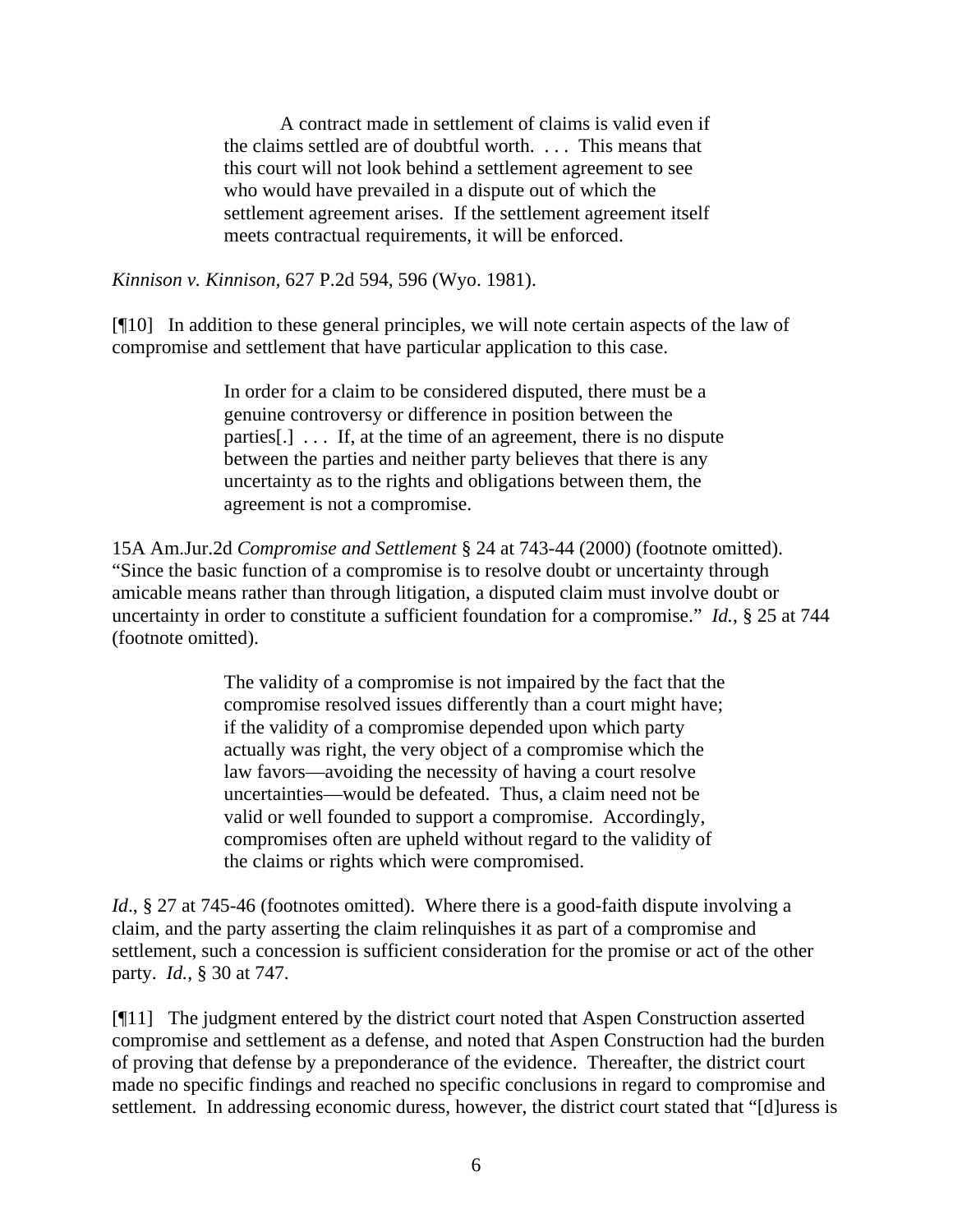A contract made in settlement of claims is valid even if the claims settled are of doubtful worth. . . . This means that this court will not look behind a settlement agreement to see who would have prevailed in a dispute out of which the settlement agreement arises. If the settlement agreement itself meets contractual requirements, it will be enforced.

*Kinnison v. Kinnison,* 627 P.2d 594, 596 (Wyo. 1981).

[¶10] In addition to these general principles, we will note certain aspects of the law of compromise and settlement that have particular application to this case.

> In order for a claim to be considered disputed, there must be a genuine controversy or difference in position between the parties[.] . . . If, at the time of an agreement, there is no dispute between the parties and neither party believes that there is any uncertainty as to the rights and obligations between them, the agreement is not a compromise.

15A Am.Jur.2d *Compromise and Settlement* § 24 at 743-44 (2000) (footnote omitted). "Since the basic function of a compromise is to resolve doubt or uncertainty through amicable means rather than through litigation, a disputed claim must involve doubt or uncertainty in order to constitute a sufficient foundation for a compromise." *Id.*, § 25 at 744 (footnote omitted).

> The validity of a compromise is not impaired by the fact that the compromise resolved issues differently than a court might have; if the validity of a compromise depended upon which party actually was right, the very object of a compromise which the law favors—avoiding the necessity of having a court resolve uncertainties—would be defeated. Thus, a claim need not be valid or well founded to support a compromise. Accordingly, compromises often are upheld without regard to the validity of the claims or rights which were compromised.

*Id.*, § 27 at 745-46 (footnotes omitted). Where there is a good-faith dispute involving a claim, and the party asserting the claim relinquishes it as part of a compromise and settlement, such a concession is sufficient consideration for the promise or act of the other party. *Id.*, § 30 at 747.

[¶11] The judgment entered by the district court noted that Aspen Construction asserted compromise and settlement as a defense, and noted that Aspen Construction had the burden of proving that defense by a preponderance of the evidence. Thereafter, the district court made no specific findings and reached no specific conclusions in regard to compromise and settlement. In addressing economic duress, however, the district court stated that "[d]uress is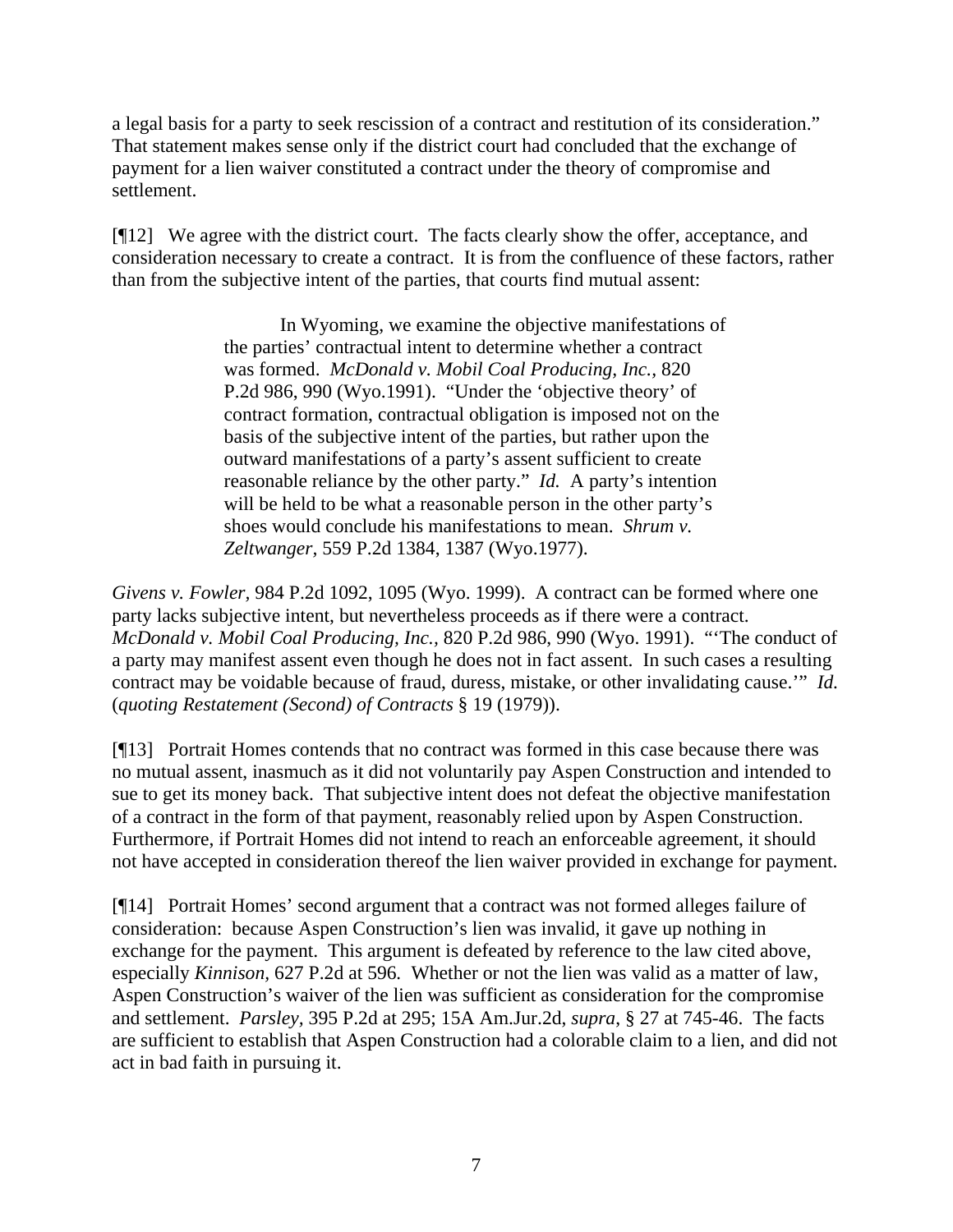a legal basis for a party to seek rescission of a contract and restitution of its consideration." That statement makes sense only if the district court had concluded that the exchange of payment for a lien waiver constituted a contract under the theory of compromise and settlement.

[¶12] We agree with the district court. The facts clearly show the offer, acceptance, and consideration necessary to create a contract. It is from the confluence of these factors, rather than from the subjective intent of the parties, that courts find mutual assent:

> In Wyoming, we examine the objective manifestations of the parties' contractual intent to determine whether a contract was formed. *McDonald v. Mobil Coal Producing, Inc.,* 820 P.2d 986, 990 (Wyo.1991). "Under the 'objective theory' of contract formation, contractual obligation is imposed not on the basis of the subjective intent of the parties, but rather upon the outward manifestations of a party's assent sufficient to create reasonable reliance by the other party." *Id.* A party's intention will be held to be what a reasonable person in the other party's shoes would conclude his manifestations to mean. *Shrum v. Zeltwanger,* 559 P.2d 1384, 1387 (Wyo.1977).

*Givens v. Fowler,* 984 P.2d 1092, 1095 (Wyo. 1999). A contract can be formed where one party lacks subjective intent, but nevertheless proceeds as if there were a contract. *McDonald v. Mobil Coal Producing, Inc.,* 820 P.2d 986, 990 (Wyo. 1991). "'The conduct of a party may manifest assent even though he does not in fact assent. In such cases a resulting contract may be voidable because of fraud, duress, mistake, or other invalidating cause.'" *Id.*  (*quoting Restatement (Second) of Contracts* § 19 (1979)).

[¶13] Portrait Homes contends that no contract was formed in this case because there was no mutual assent, inasmuch as it did not voluntarily pay Aspen Construction and intended to sue to get its money back. That subjective intent does not defeat the objective manifestation of a contract in the form of that payment, reasonably relied upon by Aspen Construction. Furthermore, if Portrait Homes did not intend to reach an enforceable agreement, it should not have accepted in consideration thereof the lien waiver provided in exchange for payment.

[¶14] Portrait Homes' second argument that a contract was not formed alleges failure of consideration: because Aspen Construction's lien was invalid, it gave up nothing in exchange for the payment. This argument is defeated by reference to the law cited above, especially *Kinnison,* 627 P.2d at 596*.* Whether or not the lien was valid as a matter of law, Aspen Construction's waiver of the lien was sufficient as consideration for the compromise and settlement. *Parsley,* 395 P.2d at 295; 15A Am.Jur.2d, *supra*, § 27 at 745-46. The facts are sufficient to establish that Aspen Construction had a colorable claim to a lien, and did not act in bad faith in pursuing it.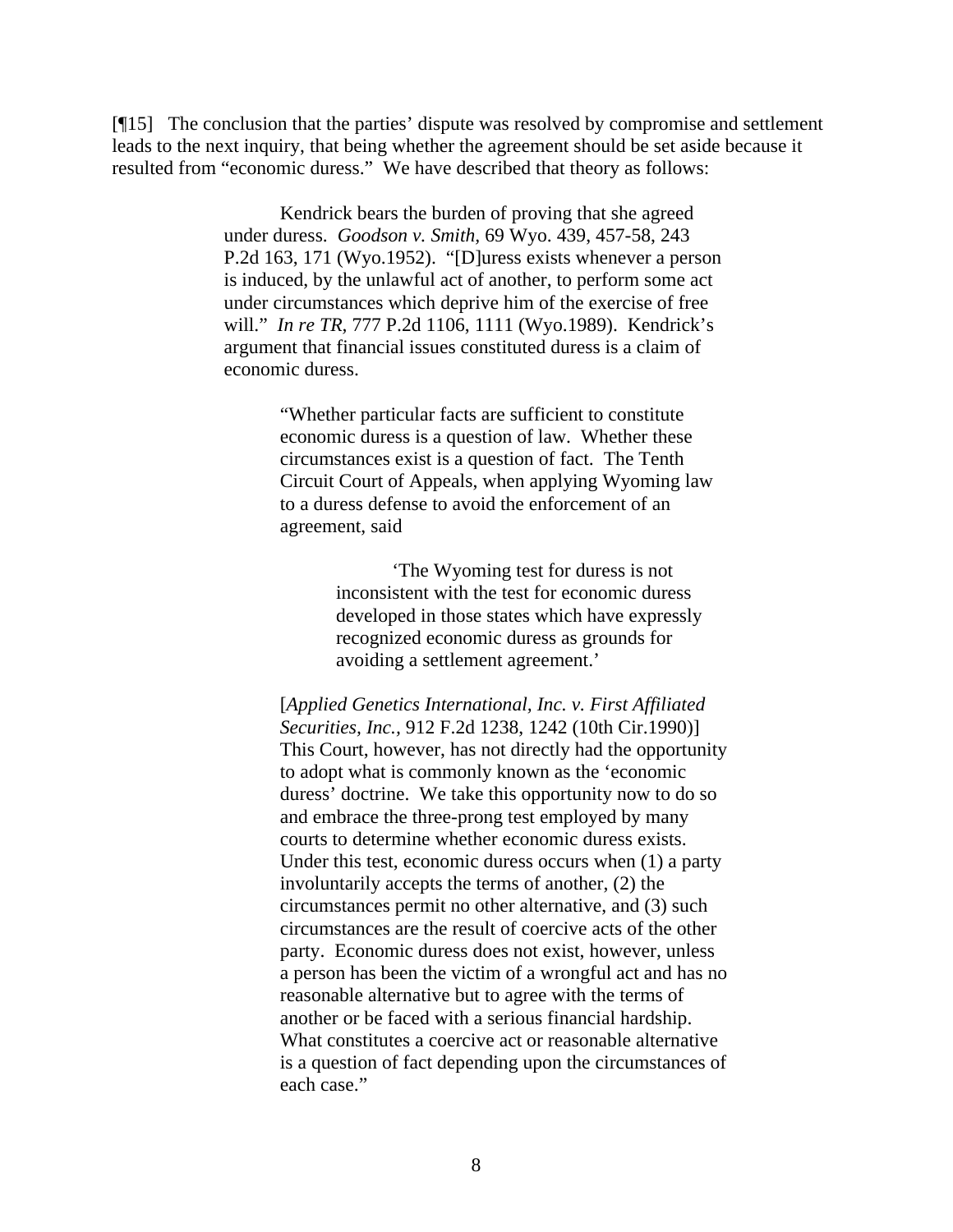[¶15] The conclusion that the parties' dispute was resolved by compromise and settlement leads to the next inquiry, that being whether the agreement should be set aside because it resulted from "economic duress." We have described that theory as follows:

> Kendrick bears the burden of proving that she agreed under duress. *Goodson v. Smith,* 69 Wyo. 439, 457-58, 243 P.2d 163, 171 (Wyo.1952). "[D]uress exists whenever a person is induced, by the unlawful act of another, to perform some act under circumstances which deprive him of the exercise of free will." *In re TR,* 777 P.2d 1106, 1111 (Wyo.1989). Kendrick's argument that financial issues constituted duress is a claim of economic duress.

> > "Whether particular facts are sufficient to constitute economic duress is a question of law. Whether these circumstances exist is a question of fact. The Tenth Circuit Court of Appeals, when applying Wyoming law to a duress defense to avoid the enforcement of an agreement, said

> > > 'The Wyoming test for duress is not inconsistent with the test for economic duress developed in those states which have expressly recognized economic duress as grounds for avoiding a settlement agreement.'

[*Applied Genetics International, Inc. v. First Affiliated Securities, Inc.,* 912 F.2d 1238, 1242 (10th Cir.1990)] This Court, however, has not directly had the opportunity to adopt what is commonly known as the 'economic duress' doctrine. We take this opportunity now to do so and embrace the three-prong test employed by many courts to determine whether economic duress exists. Under this test, economic duress occurs when (1) a party involuntarily accepts the terms of another, (2) the circumstances permit no other alternative, and (3) such circumstances are the result of coercive acts of the other party. Economic duress does not exist, however, unless a person has been the victim of a wrongful act and has no reasonable alternative but to agree with the terms of another or be faced with a serious financial hardship. What constitutes a coercive act or reasonable alternative is a question of fact depending upon the circumstances of each case."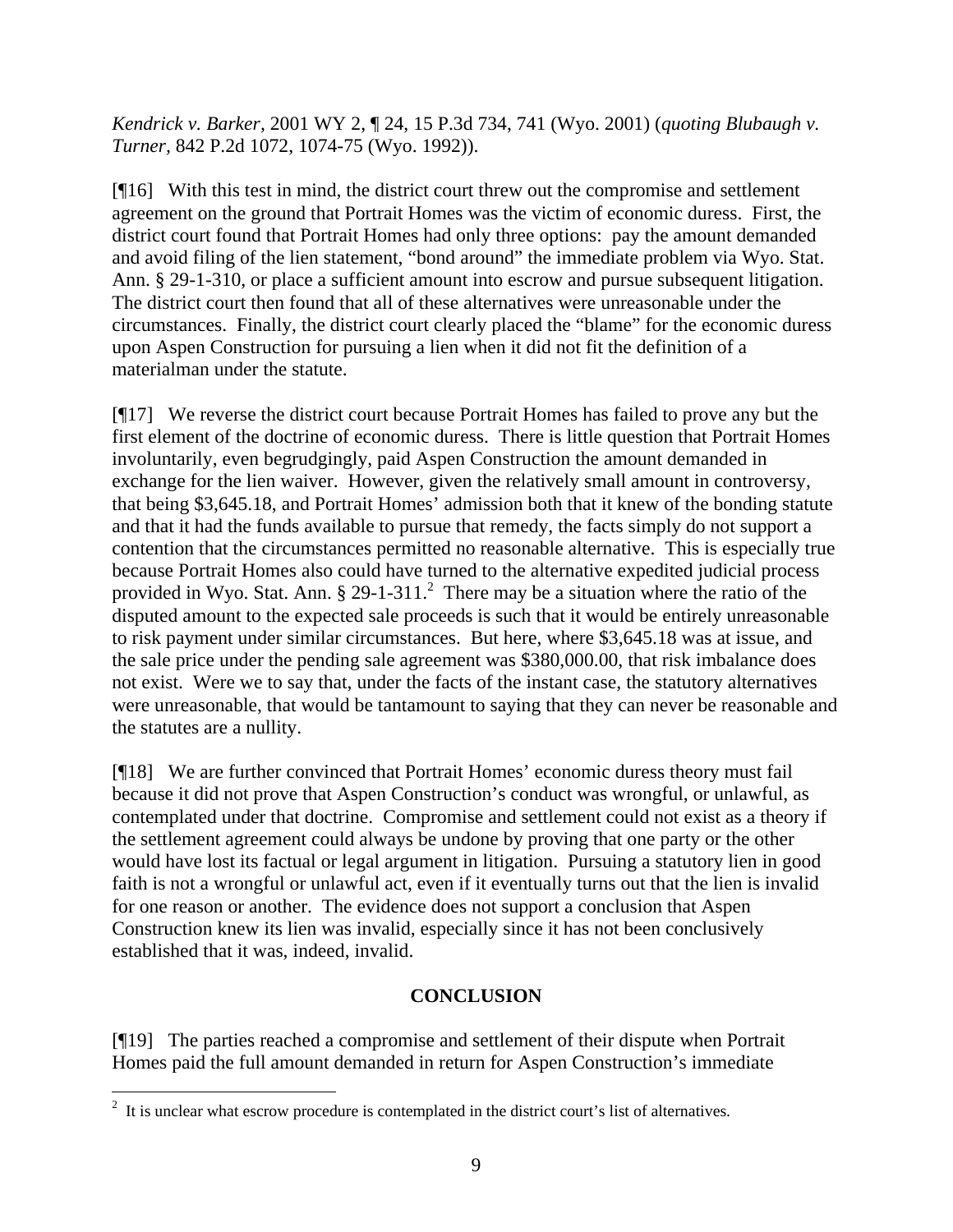*Kendrick v. Barker,* 2001 WY 2, ¶ 24, 15 P.3d 734, 741 (Wyo. 2001) (*quoting Blubaugh v. Turner,* 842 P.2d 1072, 1074-75 (Wyo. 1992)).

[¶16] With this test in mind, the district court threw out the compromise and settlement agreement on the ground that Portrait Homes was the victim of economic duress. First, the district court found that Portrait Homes had only three options: pay the amount demanded and avoid filing of the lien statement, "bond around" the immediate problem via Wyo. Stat. Ann. § 29-1-310, or place a sufficient amount into escrow and pursue subsequent litigation. The district court then found that all of these alternatives were unreasonable under the circumstances. Finally, the district court clearly placed the "blame" for the economic duress upon Aspen Construction for pursuing a lien when it did not fit the definition of a materialman under the statute.

[¶17] We reverse the district court because Portrait Homes has failed to prove any but the first element of the doctrine of economic duress. There is little question that Portrait Homes involuntarily, even begrudgingly, paid Aspen Construction the amount demanded in exchange for the lien waiver. However, given the relatively small amount in controversy, that being \$3,645.18, and Portrait Homes' admission both that it knew of the bonding statute and that it had the funds available to pursue that remedy, the facts simply do not support a contention that the circumstances permitted no reasonable alternative. This is especially true because Portrait Homes also could have turned to the alternative expedited judicial process provided in Wyo. Stat. Ann.  $\S 29-1-311$ . There may be a situation where the ratio of the disputed amount to the expected sale proceeds is such that it would be entirely unreasonable to risk payment under similar circumstances. But here, where \$3,645.18 was at issue, and the sale price under the pending sale agreement was \$380,000.00, that risk imbalance does not exist. Were we to say that, under the facts of the instant case, the statutory alternatives were unreasonable, that would be tantamount to saying that they can never be reasonable and the statutes are a nullity.

[¶18] We are further convinced that Portrait Homes' economic duress theory must fail because it did not prove that Aspen Construction's conduct was wrongful, or unlawful, as contemplated under that doctrine. Compromise and settlement could not exist as a theory if the settlement agreement could always be undone by proving that one party or the other would have lost its factual or legal argument in litigation. Pursuing a statutory lien in good faith is not a wrongful or unlawful act, even if it eventually turns out that the lien is invalid for one reason or another. The evidence does not support a conclusion that Aspen Construction knew its lien was invalid, especially since it has not been conclusively established that it was, indeed, invalid.

## **CONCLUSION**

[¶19] The parties reached a compromise and settlement of their dispute when Portrait Homes paid the full amount demanded in return for Aspen Construction's immediate

<sup>&</sup>lt;sup>2</sup> It is unclear what escrow procedure is contemplated in the district court's list of alternatives.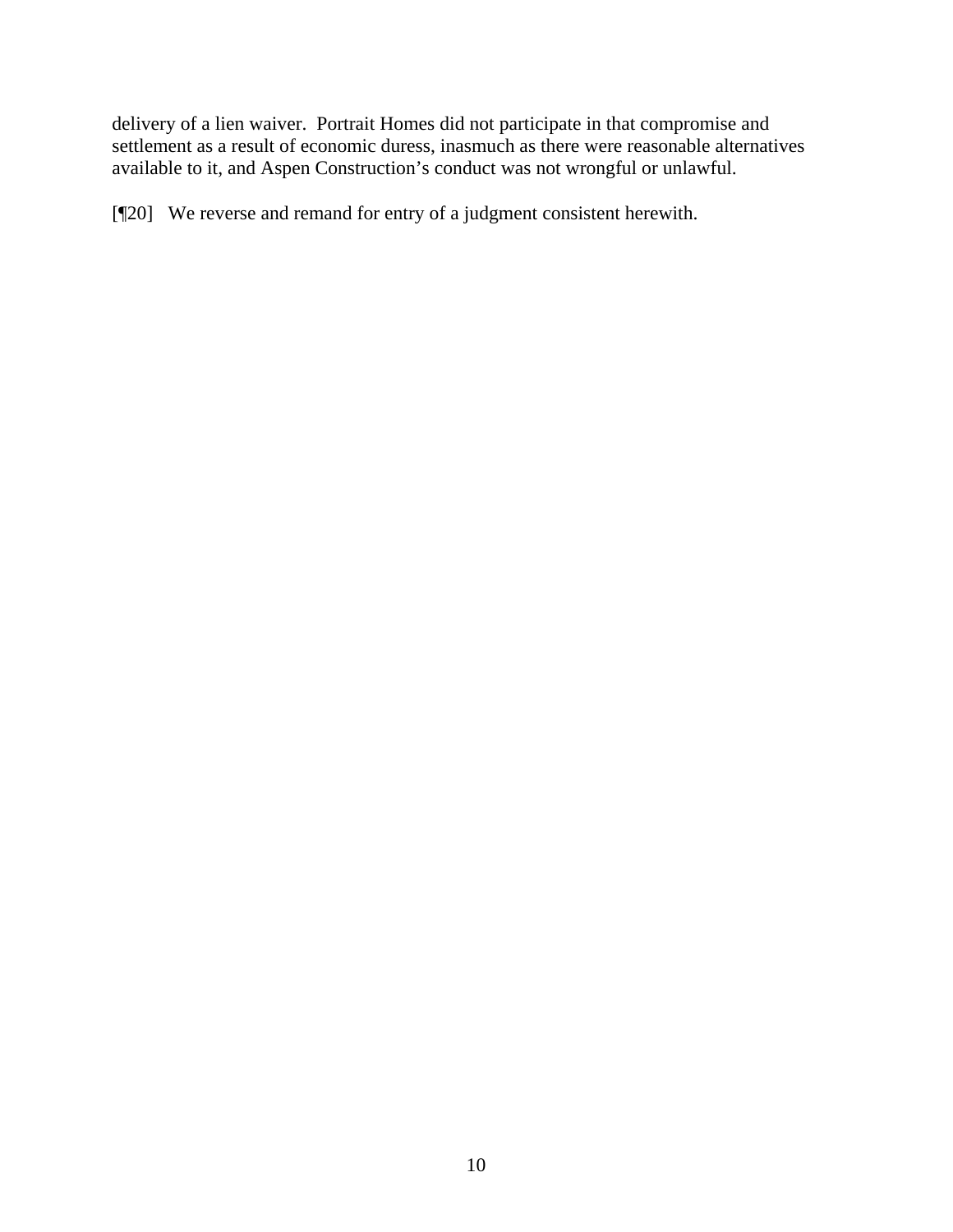delivery of a lien waiver. Portrait Homes did not participate in that compromise and settlement as a result of economic duress, inasmuch as there were reasonable alternatives available to it, and Aspen Construction's conduct was not wrongful or unlawful.

[¶20] We reverse and remand for entry of a judgment consistent herewith.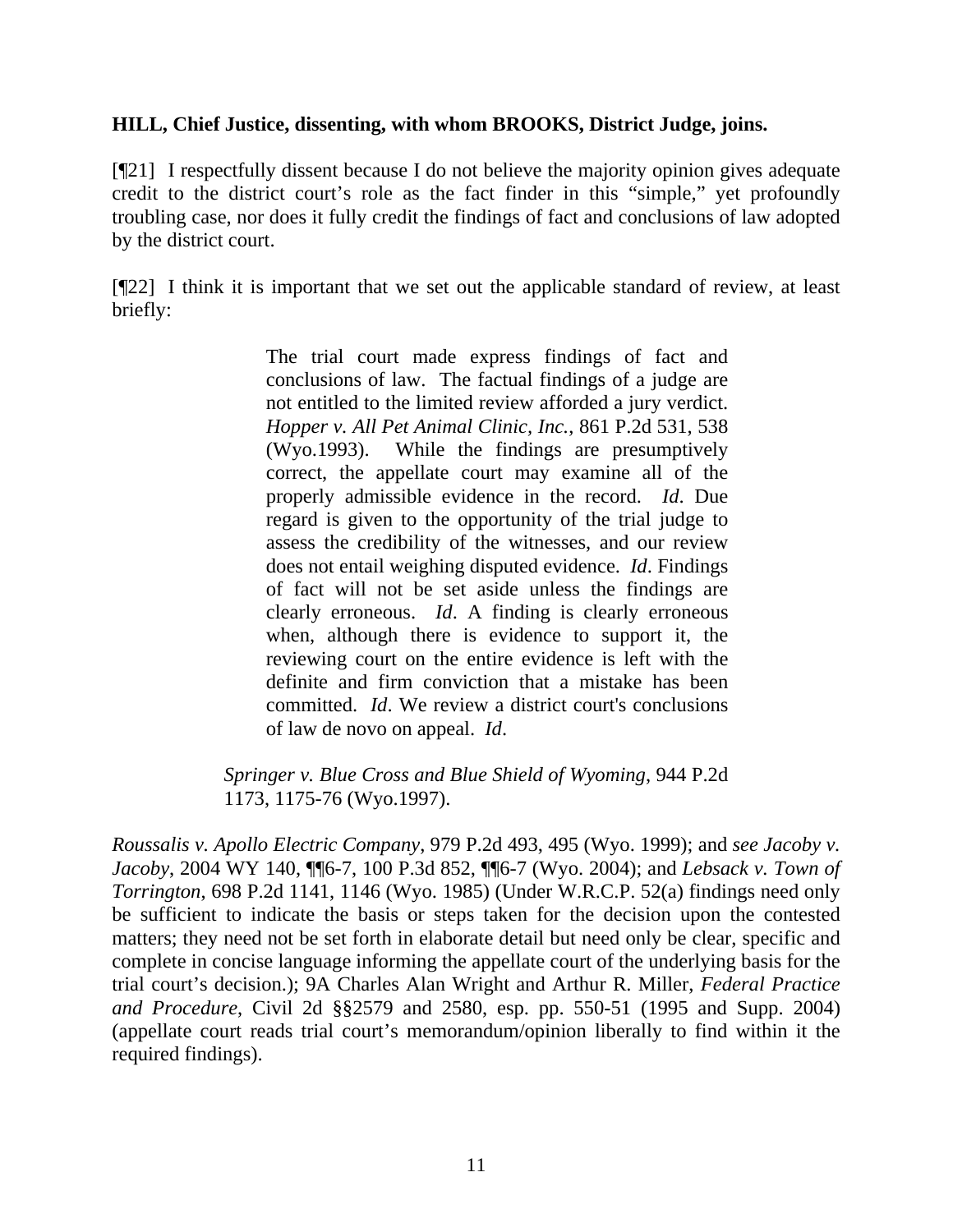## **HILL, Chief Justice, dissenting, with whom BROOKS, District Judge, joins.**

[¶21] I respectfully dissent because I do not believe the majority opinion gives adequate credit to the district court's role as the fact finder in this "simple," yet profoundly troubling case, nor does it fully credit the findings of fact and conclusions of law adopted by the district court.

[¶22] I think it is important that we set out the applicable standard of review, at least briefly:

> The trial court made express findings of fact and conclusions of law. The factual findings of a judge are not entitled to the limited review afforded a jury verdict. *Hopper v. All Pet Animal Clinic, Inc.*, 861 P.2d 531, 538 (Wyo.1993). While the findings are presumptively correct, the appellate court may examine all of the properly admissible evidence in the record. *Id*. Due regard is given to the opportunity of the trial judge to assess the credibility of the witnesses, and our review does not entail weighing disputed evidence. *Id*. Findings of fact will not be set aside unless the findings are clearly erroneous. *Id*. A finding is clearly erroneous when, although there is evidence to support it, the reviewing court on the entire evidence is left with the definite and firm conviction that a mistake has been committed. *Id*. We review a district court's conclusions of law de novo on appeal. *Id*.

*Springer v. Blue Cross and Blue Shield of Wyoming*, 944 P.2d 1173, 1175-76 (Wyo.1997).

*Roussalis v. Apollo Electric Company*, 979 P.2d 493, 495 (Wyo. 1999); and *see Jacoby v. Jacoby*, 2004 WY 140, ¶¶6-7, 100 P.3d 852, ¶¶6-7 (Wyo. 2004); and *Lebsack v. Town of Torrington*, 698 P.2d 1141, 1146 (Wyo. 1985) (Under W.R.C.P. 52(a) findings need only be sufficient to indicate the basis or steps taken for the decision upon the contested matters; they need not be set forth in elaborate detail but need only be clear, specific and complete in concise language informing the appellate court of the underlying basis for the trial court's decision.); 9A Charles Alan Wright and Arthur R. Miller, *Federal Practice and Procedure*, Civil 2d §§2579 and 2580, esp. pp. 550-51 (1995 and Supp. 2004) (appellate court reads trial court's memorandum/opinion liberally to find within it the required findings).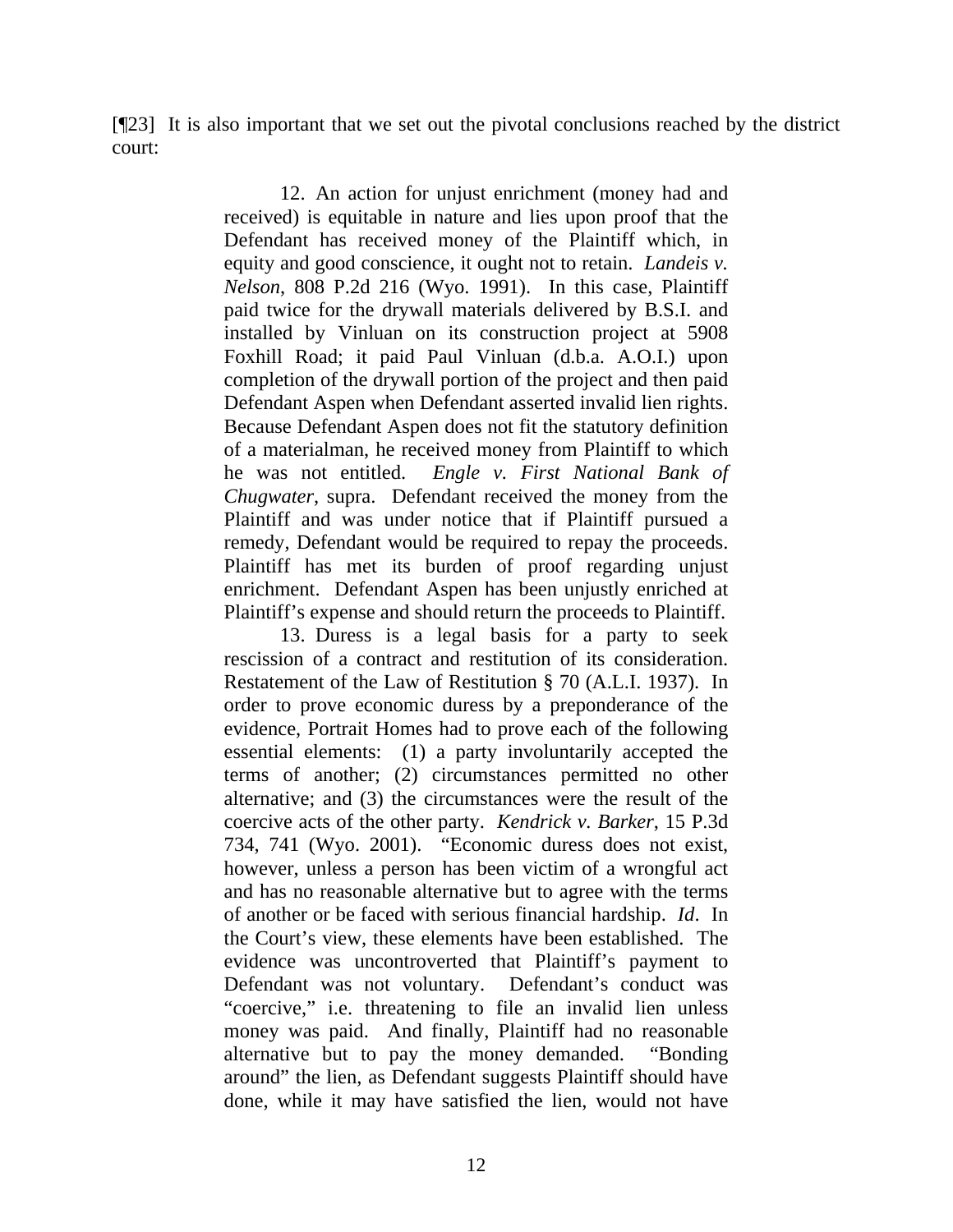[¶23] It is also important that we set out the pivotal conclusions reached by the district court:

> 12. An action for unjust enrichment (money had and received) is equitable in nature and lies upon proof that the Defendant has received money of the Plaintiff which, in equity and good conscience, it ought not to retain. *Landeis v. Nelson*, 808 P.2d 216 (Wyo. 1991). In this case, Plaintiff paid twice for the drywall materials delivered by B.S.I. and installed by Vinluan on its construction project at 5908 Foxhill Road; it paid Paul Vinluan (d.b.a. A.O.I.) upon completion of the drywall portion of the project and then paid Defendant Aspen when Defendant asserted invalid lien rights. Because Defendant Aspen does not fit the statutory definition of a materialman, he received money from Plaintiff to which he was not entitled. *Engle v. First National Bank of Chugwater*, supra. Defendant received the money from the Plaintiff and was under notice that if Plaintiff pursued a remedy, Defendant would be required to repay the proceeds. Plaintiff has met its burden of proof regarding unjust enrichment. Defendant Aspen has been unjustly enriched at Plaintiff's expense and should return the proceeds to Plaintiff.

> 13. Duress is a legal basis for a party to seek rescission of a contract and restitution of its consideration. Restatement of the Law of Restitution § 70 (A.L.I. 1937). In order to prove economic duress by a preponderance of the evidence, Portrait Homes had to prove each of the following essential elements: (1) a party involuntarily accepted the terms of another; (2) circumstances permitted no other alternative; and (3) the circumstances were the result of the coercive acts of the other party. *Kendrick v. Barker*, 15 P.3d 734, 741 (Wyo. 2001). "Economic duress does not exist, however, unless a person has been victim of a wrongful act and has no reasonable alternative but to agree with the terms of another or be faced with serious financial hardship. *Id*. In the Court's view, these elements have been established. The evidence was uncontroverted that Plaintiff's payment to Defendant was not voluntary. Defendant's conduct was "coercive," i.e. threatening to file an invalid lien unless money was paid. And finally, Plaintiff had no reasonable alternative but to pay the money demanded. "Bonding around" the lien, as Defendant suggests Plaintiff should have done, while it may have satisfied the lien, would not have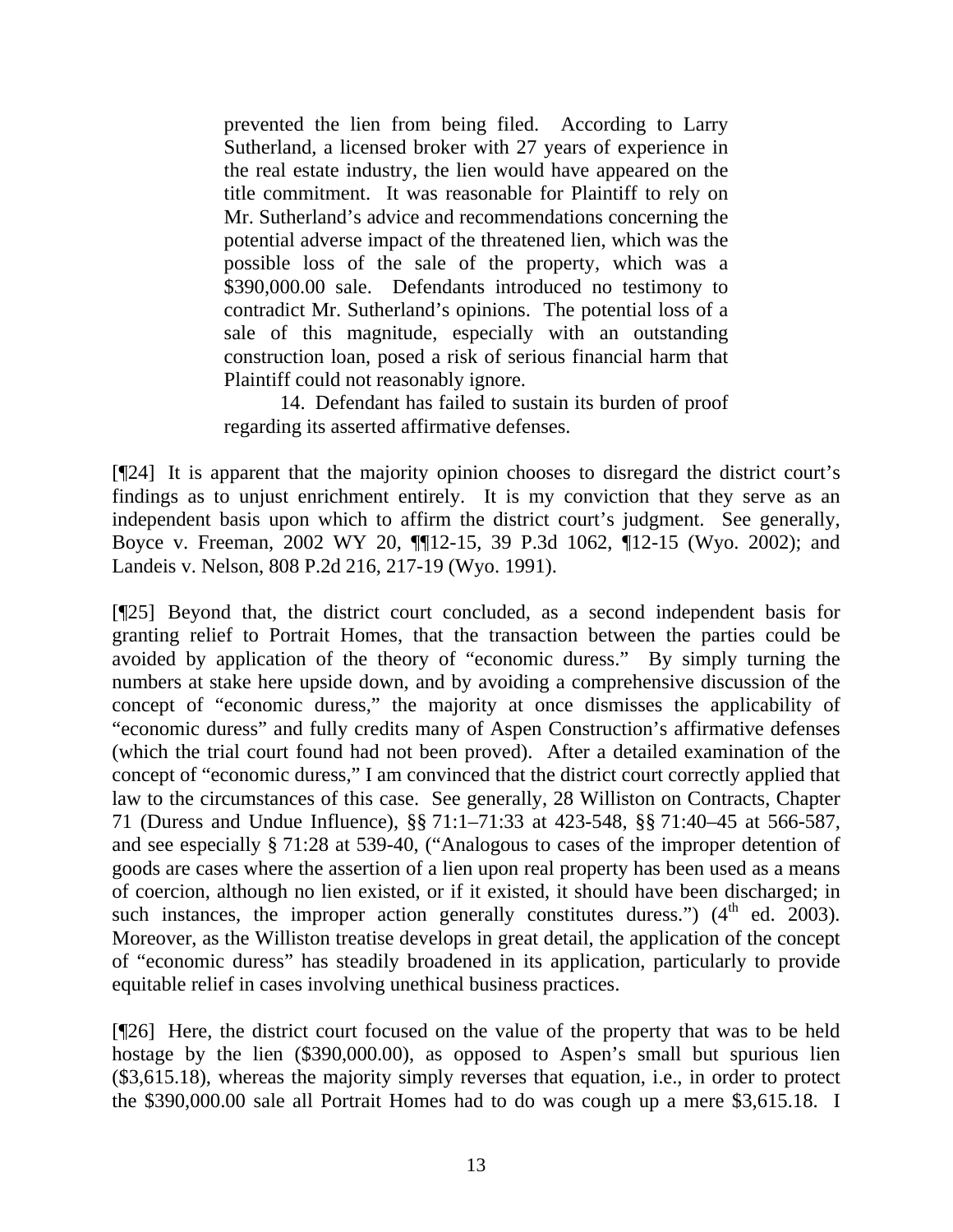prevented the lien from being filed. According to Larry Sutherland, a licensed broker with 27 years of experience in the real estate industry, the lien would have appeared on the title commitment. It was reasonable for Plaintiff to rely on Mr. Sutherland's advice and recommendations concerning the potential adverse impact of the threatened lien, which was the possible loss of the sale of the property, which was a \$390,000.00 sale. Defendants introduced no testimony to contradict Mr. Sutherland's opinions. The potential loss of a sale of this magnitude, especially with an outstanding construction loan, posed a risk of serious financial harm that Plaintiff could not reasonably ignore.

14. Defendant has failed to sustain its burden of proof regarding its asserted affirmative defenses.

[¶24] It is apparent that the majority opinion chooses to disregard the district court's findings as to unjust enrichment entirely. It is my conviction that they serve as an independent basis upon which to affirm the district court's judgment. See generally, Boyce v. Freeman, 2002 WY 20, ¶¶12-15, 39 P.3d 1062, ¶12-15 (Wyo. 2002); and Landeis v. Nelson, 808 P.2d 216, 217-19 (Wyo. 1991).

[¶25] Beyond that, the district court concluded, as a second independent basis for granting relief to Portrait Homes, that the transaction between the parties could be avoided by application of the theory of "economic duress." By simply turning the numbers at stake here upside down, and by avoiding a comprehensive discussion of the concept of "economic duress," the majority at once dismisses the applicability of "economic duress" and fully credits many of Aspen Construction's affirmative defenses (which the trial court found had not been proved). After a detailed examination of the concept of "economic duress," I am convinced that the district court correctly applied that law to the circumstances of this case. See generally, 28 Williston on Contracts, Chapter 71 (Duress and Undue Influence), §§ 71:1–71:33 at 423-548, §§ 71:40–45 at 566-587, and see especially § 71:28 at 539-40, ("Analogous to cases of the improper detention of goods are cases where the assertion of a lien upon real property has been used as a means of coercion, although no lien existed, or if it existed, it should have been discharged; in such instances, the improper action generally constitutes duress.")  $(4<sup>th</sup>$  ed. 2003). Moreover, as the Williston treatise develops in great detail, the application of the concept of "economic duress" has steadily broadened in its application, particularly to provide equitable relief in cases involving unethical business practices.

[¶26] Here, the district court focused on the value of the property that was to be held hostage by the lien (\$390,000.00), as opposed to Aspen's small but spurious lien (\$3,615.18), whereas the majority simply reverses that equation, i.e., in order to protect the \$390,000.00 sale all Portrait Homes had to do was cough up a mere \$3,615.18. I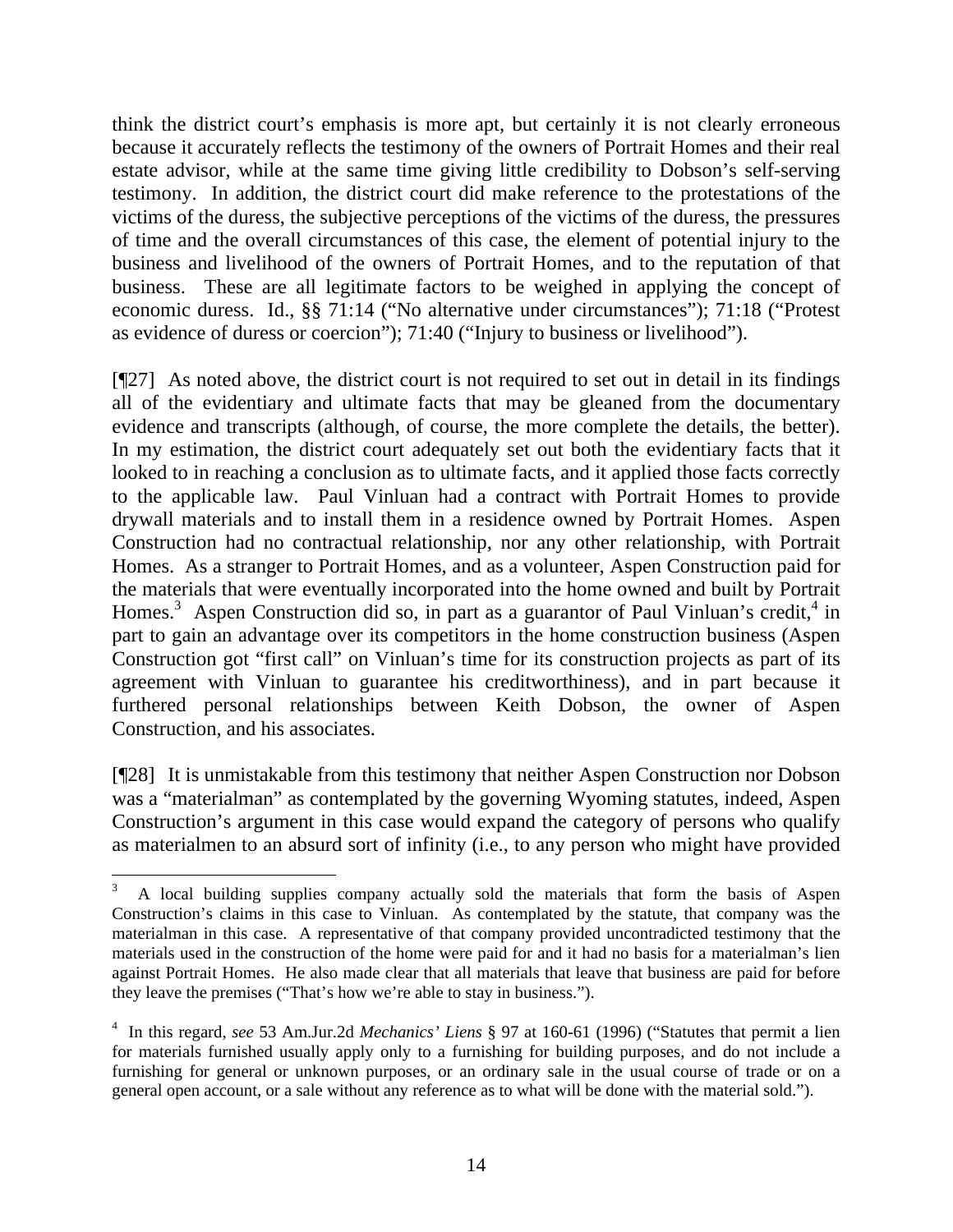think the district court's emphasis is more apt, but certainly it is not clearly erroneous because it accurately reflects the testimony of the owners of Portrait Homes and their real estate advisor, while at the same time giving little credibility to Dobson's self-serving testimony. In addition, the district court did make reference to the protestations of the victims of the duress, the subjective perceptions of the victims of the duress, the pressures of time and the overall circumstances of this case, the element of potential injury to the business and livelihood of the owners of Portrait Homes, and to the reputation of that business. These are all legitimate factors to be weighed in applying the concept of economic duress. Id., §§ 71:14 ("No alternative under circumstances"); 71:18 ("Protest as evidence of duress or coercion"); 71:40 ("Injury to business or livelihood").

[¶27] As noted above, the district court is not required to set out in detail in its findings all of the evidentiary and ultimate facts that may be gleaned from the documentary evidence and transcripts (although, of course, the more complete the details, the better). In my estimation, the district court adequately set out both the evidentiary facts that it looked to in reaching a conclusion as to ultimate facts, and it applied those facts correctly to the applicable law. Paul Vinluan had a contract with Portrait Homes to provide drywall materials and to install them in a residence owned by Portrait Homes. Aspen Construction had no contractual relationship, nor any other relationship, with Portrait Homes. As a stranger to Portrait Homes, and as a volunteer, Aspen Construction paid for the materials that were eventually incorporated into the home owned and built by Portrait Homes.<sup>3</sup> Aspen Construction did so, in part as a guarantor of Paul Vinluan's credit,<sup>4</sup> in part to gain an advantage over its competitors in the home construction business (Aspen Construction got "first call" on Vinluan's time for its construction projects as part of its agreement with Vinluan to guarantee his creditworthiness), and in part because it furthered personal relationships between Keith Dobson, the owner of Aspen Construction, and his associates.

[¶28] It is unmistakable from this testimony that neither Aspen Construction nor Dobson was a "materialman" as contemplated by the governing Wyoming statutes, indeed, Aspen Construction's argument in this case would expand the category of persons who qualify as materialmen to an absurd sort of infinity (i.e., to any person who might have provided

 $\overline{a}$ 

<sup>3</sup> A local building supplies company actually sold the materials that form the basis of Aspen Construction's claims in this case to Vinluan. As contemplated by the statute, that company was the materialman in this case. A representative of that company provided uncontradicted testimony that the materials used in the construction of the home were paid for and it had no basis for a materialman's lien against Portrait Homes. He also made clear that all materials that leave that business are paid for before they leave the premises ("That's how we're able to stay in business.").

<sup>4</sup> In this regard, *see* 53 Am.Jur.2d *Mechanics' Liens* § 97 at 160-61 (1996) ("Statutes that permit a lien for materials furnished usually apply only to a furnishing for building purposes, and do not include a furnishing for general or unknown purposes, or an ordinary sale in the usual course of trade or on a general open account, or a sale without any reference as to what will be done with the material sold.").